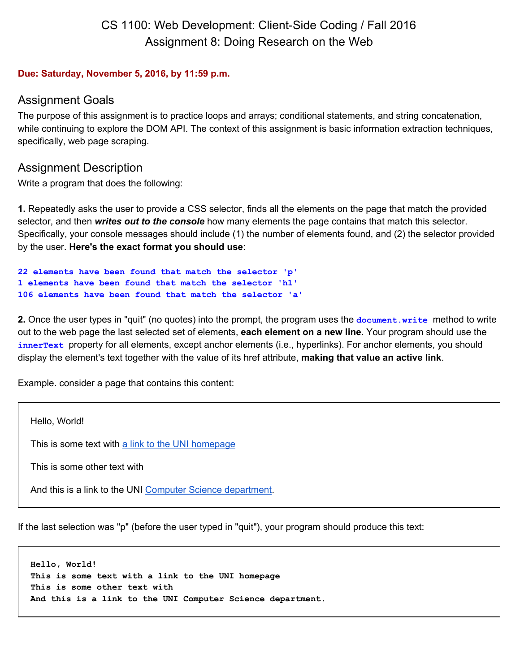# CS 1100: Web Development: Client-Side Coding / Fall 2016 Assignment 8: Doing Research on the Web

#### **Due: Saturday, November 5, 2016, by 11:59 p.m.**

### Assignment Goals

The purpose of this assignment is to practice loops and arrays; conditional statements, and string concatenation, while continuing to explore the DOM API. The context of this assignment is basic information extraction techniques, specifically, web page scraping.

### Assignment Description

Write a program that does the following:

**1.** Repeatedly asks the user to provide a CSS selector, finds all the elements on the page that match the provided selector, and then *writes out to the console* how many elements the page contains that match this selector. Specifically, your console messages should include (1) the number of elements found, and (2) the selector provided by the user. **Here's the exact format you should use**:

```
22 elements have been found that match the selector 'p'
1 elements have been found that match the selector 'h1'
106 elements have been found that match the selector 'a'
```
**2.** Once the user types in "quit" (no quotes) into the prompt, the program uses the **document.write** method to write out to the web page the last selected set of elements, **each element on a new line**. Your program should use the **innerText** property for all elements, except anchor elements (i.e., hyperlinks). For anchor elements, you should display the element's text together with the value of its href attribute, **making that value an active link**.

Example. consider a page that contains this content:

Hello, World! This is some text with [a link to the](http://uni.edu/) UNI homepage This is some other text with And this is a link to the UNI [Computer Science](http://cs.uni.edu/) department.

If the last selection was "p" (before the user typed in "quit"), your program should produce this text:

```
Hello, World!
This is some text with a link to the UNI homepage
This is some other text with
And this is a link to the UNI Computer Science department.
```